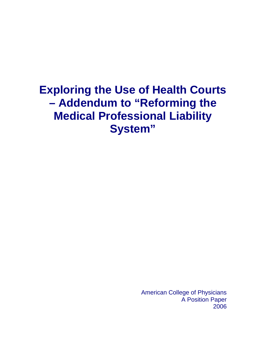# **Exploring the Use of Health Courts – Addendum to "Reforming the Medical Professional Liability System"**

American College of Physicians A Position Paper 2006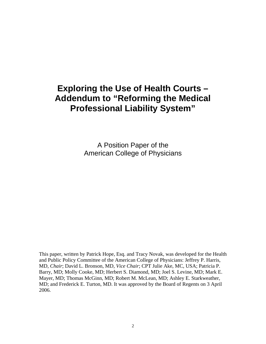# **Exploring the Use of Health Courts – Addendum to "Reforming the Medical Professional Liability System"**

A Position Paper of the American College of Physicians

This paper, written by Patrick Hope, Esq. and Tracy Novak, was developed for the Health and Public Policy Committee of the American College of Physicians: Jeffrey P. Harris, MD, *Chair*; David L. Bronson, MD, *Vice Chair*; CPT Julie Ake, MC, USA; Patricia P. Barry, MD; Molly Cooke, MD; Herbert S. Diamond, MD; Joel S. Levine, MD; Mark E. Mayer, MD; Thomas McGinn, MD; Robert M. McLean, MD; Ashley E. Starkweather, MD; and Frederick E. Turton, MD. It was approved by the Board of Regents on 3 April 2006.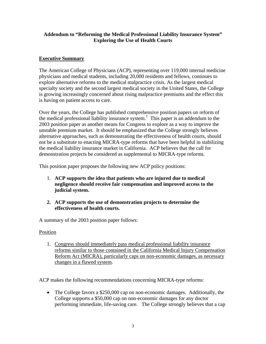#### **Addendum to "Reforming the Medical Professional Liability Insurance System" Exploring the Use of Health Courts**

# **Executive Summary**

The American College of Physicians (ACP), representing over 119,000 internal medicine physicians and medical students, including 20,000 residents and fellows, continues to explore alternative reforms to the medical malpractice crisis. As the largest medical specialty society and the second largest medical society in the United States, the College is growing increasingly concerned about rising malpractice premiums and the effect this is having on patient access to care.

Over the years, the College has published comprehensive position papers on reform of the medical professional liability insurance system. 1 This paper is an addendum to the 2003 position paper as another means for Congress to explore as a way to improve the unstable premium market. It should be emphasized that the College strongly believes alternative approaches, such as demonstrating the effectiveness of health courts, should not be a substitute to enacting MICRA-type reforms that have been helpful in stabilizing the medical liability insurance market in California. ACP believes that the call for demonstration projects be considered as supplemental to MICRA-type reforms.

This position paper proposes the following new ACP policy positions:

- 1. **ACP supports the idea that patients who are injured due to medical negligence should receive fair compensation and improved access to the judicial system.**
- **2. ACP supports the use of demonstration projects to determine the effectiveness of health courts.**

A summary of the 2003 position paper follows:

# Position

1. Congress should immediately pass medical professional liability insurance reforms similar to those contained in the California Medical Injury Compensation Reform Act (MICRA), particularly caps on non-economic damages, as necessary changes in a flawed system.

ACP makes the following recommendations concerning MICRA-type reforms:

• The College favors a \$250,000 cap on non-economic damages. Additionally, the College supports a \$50,000 cap on non-economic damages for any doctor performing immediate, life-saving care. The College strongly believes that a cap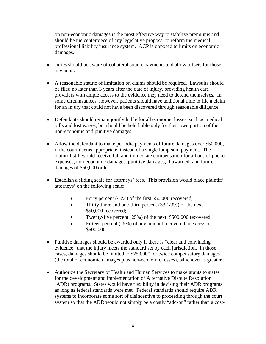on non-economic damages is the most effective way to stabilize premiums and should be the centerpiece of any legislative proposal to reform the medical professional liability insurance system. ACP is opposed to limits on economic damages.

- Juries should be aware of collateral source payments and allow offsets for those payments.
- A reasonable statute of limitation on claims should be required. Lawsuits should be filed no later than 3 years after the date of injury, providing health care providers with ample access to the evidence they need to defend themselves. In some circumstances, however, patients should have additional time to file a claim for an injury that could not have been discovered through reasonable diligence.
- Defendants should remain jointly liable for all economic losses, such as medical bills and lost wages, but should be held liable only for their own portion of the non-economic and punitive damages.
- Allow the defendant to make periodic payments of future damages over \$50,000, if the court deems appropriate, instead of a single lump sum payment. The plaintiff still would receive full and immediate compensation for all out-of-pocket expenses, non-economic damages, punitive damages, if awarded, and future damages of \$50,000 or less.
- Establish a sliding scale for attorneys' fees. This provision would place plaintiff attorneys' on the following scale:
	- Forty percent (40%) of the first \$50,000 recovered;
	- Thirty-three and one-third percent (33 1/3%) of the next \$50,000 recovered;
	- Twenty-five percent (25%) of the next \$500,000 recovered;
	- Fifteen percent (15%) of any amount recovered in excess of \$600,000.
- Punitive damages should be awarded only if there is "clear and convincing" evidence" that the injury meets the standard set by each jurisdiction. In those cases, damages should be limited to \$250,000, or twice compensatory damages (the total of economic damages plus non-economic losses), whichever is greater.
- Authorize the Secretary of Health and Human Services to make grants to states for the development and implementation of Alternative Dispute Resolution (ADR) programs. States would have flexibility in devising their ADR programs as long as federal standards were met. Federal standards should require ADR systems to incorporate some sort of disincentive to proceeding through the court system so that the ADR would not simply be a costly "add-on" rather than a cost-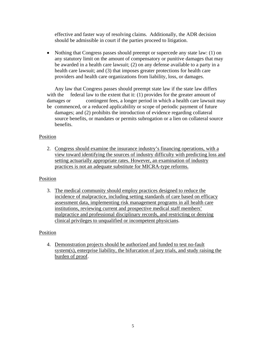effective and faster way of resolving claims. Additionally, the ADR decision should be admissible in court if the parties proceed to litigation.

• Nothing that Congress passes should preempt or supercede any state law: (1) on any statutory limit on the amount of compensatory or punitive damages that may be awarded in a health care lawsuit; (2) on any defense available to a party in a health care lawsuit; and (3) that imposes greater protections for health care providers and health care organizations from liability, loss, or damages.

Any law that Congress passes should preempt state law if the state law differs with the federal law to the extent that it:  $(1)$  provides for the greater amount of damages or contingent fees, a longer period in which a health care lawsuit may be commenced, or a reduced applicability or scope of periodic payment of future damages; and (2) prohibits the introduction of evidence regarding collateral source benefits, or mandates or permits subrogation or a lien on collateral source benefits.

# Position

2. Congress should examine the insurance industry's financing operations, with a view toward identifying the sources of industry difficulty with predicting loss and setting actuarially appropriate rates. However, an examination of industry practices is not an adequate substitute for MICRA-type reforms.

#### Position

3. The medical community should employ practices designed to reduce the incidence of malpractice, including setting standards of care based on efficacy assessment data, implementing risk management programs in all health care institutions, reviewing current and prospective medical staff members' malpractice and professional disciplinary records, and restricting or denying clinical privileges to unqualified or incompetent physicians.

#### Position

4. Demonstration projects should be authorized and funded to test no-fault system(s), enterprise liability, the bifurcation of jury trials, and study raising the burden of proof.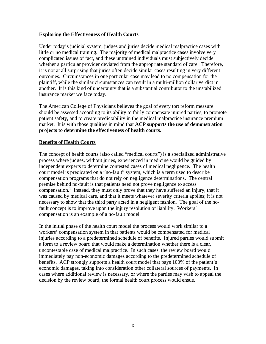#### **Exploring the Effectiveness of Health Courts**

Under today's judicial system, judges and juries decide medical malpractice cases with little or no medical training. The majority of medical malpractice cases involve very complicated issues of fact, and these untrained individuals must subjectively decide whether a particular provider deviated from the appropriate standard of care. Therefore, it is not at all surprising that juries often decide similar cases resulting in very different outcomes. Circumstances in one particular case may lead to no compensation for the plaintiff, while the similar circumstances can result in a multi-million dollar verdict in another. It is this kind of uncertainty that is a substantial contributor to the unstabilized insurance market we face today.

The American College of Physicians believes the goal of every tort reform measure should be assessed according to its ability to fairly compensate injured parties, to promote patient safety, and to create predictability in the medical malpractice insurance premium market. It is with those qualities in mind that **ACP supports the use of demonstration projects to determine the effectiveness of health courts**.

#### **Benefits of Health Courts**

The concept of health courts (also called "medical courts") is a specialized administrative process where judges, without juries, experienced in medicine would be guided by independent experts to determine contested cases of medical negligence. The health court model is predicated on a "no-fault" system, which is a term used to describe compensation programs that do not rely on negligence determinations. The central premise behind no-fault is that patients need not prove negligence to access compensation.<sup>1</sup> Instead, they must only prove that they have suffered an injury, that it was caused by medical care, and that it meets whatever severity criteria applies; it is not necessary to show that the third party acted in a negligent fashion. The goal of the nofault concept is to improve upon the injury resolution of liability. Workers' compensation is an example of a no-fault model

In the initial phase of the health court model the process would work similar to a workers' compensation system in that patients would be compensated for medical injuries according to a predetermined schedule of benefits. Injured parties would submit a form to a review board that would make a determination whether there is a clear, uncontestable case of medical malpractice. In such cases, the review board would immediately pay non-economic damages according to the predetermined schedule of benefits. ACP strongly supports a health court model that pays 100% of the patient's economic damages, taking into consideration other collateral sources of payments. In cases where additional review is necessary, or where the parties may wish to appeal the decision by the review board, the formal health court process would ensue.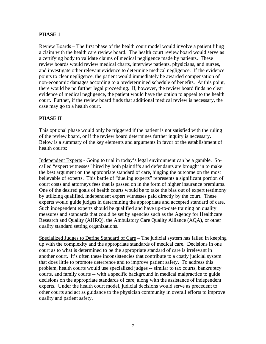# **PHASE 1**

Review Boards – The first phase of the health court model would involve a patient filing a claim with the health care review board. The health court review board would serve as a certifying body to validate claims of medical negligence made by patients. These review boards would review medical charts, interview patients, physicians, and nurses, and investigate other relevant evidence to determine medical negligence. If the evidence points to clear negligence, the patient would immediately be awarded compensation of non-economic damages according to a predetermined schedule of benefits. At this point, there would be no further legal proceeding. If, however, the review board finds no clear evidence of medical negligence, the patient would have the option to appeal to the health court. Further, if the review board finds that additional medical review is necessary, the case may go to a health court.

# **PHASE II**

This optional phase would only be triggered if the patient is not satisfied with the ruling of the review board, or if the review board determines further inquiry is necessary. Below is a summary of the key elements and arguments in favor of the establishment of health courts:

Independent Experts - Going to trial in today's legal environment can be a gamble. Socalled "expert witnesses" hired by both plaintiffs and defendants are brought in to make the best argument on the appropriate standard of care, hinging the outcome on the most believable of experts. This battle of "dueling experts" represents a significant portion of court costs and attorneys fees that is passed on in the form of higher insurance premiums. One of the desired goals of health courts would be to take the bias out of expert testimony by utilizing qualified, independent expert witnesses paid directly by the court. These experts would guide judges in determining the appropriate and accepted standard of care. Such independent experts should be qualified and have up-to-date training on quality measures and standards that could be set by agencies such as the Agency for Healthcare Research and Quality (AHRQ), the Ambulatory Care Quality Alliance (AQA), or other quality standard setting organizations.

Specialized Judges to Define Standard of Care - The judicial system has failed in keeping up with the complexity and the appropriate standards of medical care. Decisions in one court as to what is determined to be the appropriate standard of care is irrelevant in another court. It's often these inconsistencies that contribute to a costly judicial system that does little to promote deterrence and to improve patient safety. To address this problem, health courts would use specialized judges -- similar to tax courts, bankruptcy courts, and family courts -- with a specific background in medical malpractice to guide decisions on the appropriate standards of care, along with the assistance of independent experts. Under the health court model, judicial decisions would serve as precedent to other courts and act as guidance to the physician community in overall efforts to improve quality and patient safety.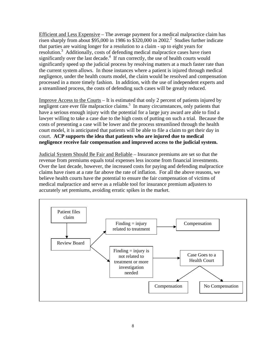Efficient and Less Expensive – The average payment for a medical malpractice claim has risen sharply from about \$95,000 in 1986 to \$3[2](#page-11-1)0,000 in 2002.<sup>2</sup> Studies further indicate that parties are waiting longer for a resolution to a claim - up to eight years for resolution[.3](#page-11-2) Additionally, costs of defending medical malpractice cases have risen significantly over the last decade.<sup>4</sup> If run correctly, the use of health courts would significantly speed up the judicial process by resolving matters at a much faster rate than the current system allows. In those instances where a patient is injured through medical negligence, under the health courts model, the claim would be resolved and compensation processed in a more timely fashion. In addition, with the use of independent experts and a streamlined process, the costs of defending such cases will be greatly reduced.

Improve Access to the Courts – It is estimated that only 2 percent of patients injured by negligent care ever file malpractice claims. 5 In many circumstances, only patients that have a serious enough injury with the potential for a large jury award are able to find a lawyer willing to take a case due to the high costs of putting on such a trial. Because the costs of presenting a case will be lower and the process streamlined through the health court model, it is anticipated that patients will be able to file a claim to get their day in court. **ACP supports the idea that patients who are injured due to medical negligence receive fair compensation and improved access to the judicial system.**

Judicial System Should Be Fair and Reliable – Insurance premiums are set so that the revenue from premiums equals total expenses less income from financial investments. Over the last decade, however, the increased costs for paying and defending malpractice claims have risen at a rate far above the rate of inflation. For all the above reasons, we believe health courts have the potential to ensure the fair compensation of victims of medical malpractice and serve as a reliable tool for insurance premium adjusters to accurately set premiums, avoiding erratic spikes in the market.

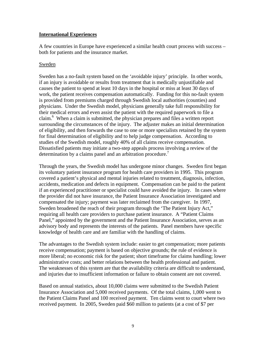#### **International Experiences**

A few countries in Europe have experienced a similar health court process with success – both for patients and the insurance market.

#### Sweden

Sweden has a no-fault system based on the 'avoidable injury' principle. In other words, if an injury is avoidable or results from treatment that is medically unjustifiable and causes the patient to spend at least 10 days in the hospital or miss at least 30 days of work, the patient receives compensation automatically. Funding for this no-fault system is provided from premiums charged through Swedish local authorities (counties) and physicians. Under the Swedish model, physicians generally take full responsibility for their medical errors and even assist the patient with the required paperwork to file a claim. 6 When a claim is submitted, the physician prepares and files a written report surrounding the circumstances of the injury. The adjuster makes an initial determination of eligibility, and then forwards the case to one or more specialists retained by the system for final determination of eligibility and to help judge compensation. According to studies of the Swedish model, roughly 40% of all claims receive compensation. Dissatisfied patients may initiate a two-step appeals process involving a review of the determination by a claims panel and an arbitration procedure.<sup>[7](#page-11-6)</sup>

Through the years, the Swedish model has undergone minor changes. Sweden first began its voluntary patient insurance program for health care providers in 1995. This program covered a patient's physical and mental injuries related to treatment, diagnosis, infection, accidents, medication and defects in equipment. Compensation can be paid to the patient if an experienced practitioner or specialist could have avoided the injury. In cases where the provider did not have insurance, the Patient Insurance Association investigated and compensated the injury; payment was later reclaimed from the caregiver. In 1997, Sweden broadened the reach of their program through the 'The Patient Injury Act," requiring all health care providers to purchase patient insurance. A "Patient Claims Panel," appointed by the government and the Patient Insurance Association, serves as an advisory body and represents the interests of the patients. Panel members have specific knowledge of health care and are familiar with the handling of claims.

The advantages to the Swedish system include: easier to get compensation; more patients receive compensation; payment is based on objective grounds; the rule of evidence is more liberal; no economic risk for the patient; short timeframe for claims handling; lower administrative costs; and better relations between the health professional and patient. The weaknesses of this system are that the availability criteria are difficult to understand, and injuries due to insufficient information or failure to obtain consent are not covered.

Based on annual statistics, about 10,000 claims were submitted to the Swedish Patient Insurance Association and 5,000 received payments. Of the total claims, 1,000 went to the Patient Claims Panel and 100 received payment. Ten claims went to court where two received payment. In 2005, Sweden paid \$60 million to patients (at a cost of \$7 per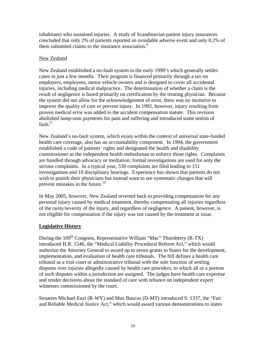inhabitant) who sustained injuries. A study of Scandinavian patient injury insurances concluded that only 2% of patients reported an avoidable adverse event and only 0.2% of them submitted claims to the insurance association.<sup>[8](#page-11-7)</sup>

#### New Zealand

New Zealand established a no-fault system in the early 1990's which generally settles cases in just a few months. Their program is financed primarily through a tax on employers, employees, motor vehicle owners and is designed to cover all accidental injuries, including medical malpractice. The determination of whether a claim is the result of negligence is based primarily on certification by the treating physician. Because the system did not allow for the acknowledgement of error, there was no incentive to improve the quality of care or prevent injury. In 1992, however, injury resulting from proven medical error was added to the accident compensation statute. This revision abolished lump-sum payments for pain and suffering and introduced some notion of fault.<sup>9</sup>

New Zealand's no-fault system, which exists within the context of universal state-funded health care coverage, also has an accountability component. In 1994, the government established a code of patients' rights and designated the health and disability commissioner as the independent health ombudsman to enforce those rights. Complaints are handled through advocacy or mediation; formal investigations are used for only the serious complaints. In a typical year, 530 complaints are filed leading to 151 investigations and 10 disciplinary hearings. Experience has shown that patients do not wish to punish their physicians but instead want to see systematic changes that will prevent mistakes in the future.<sup>10</sup>

In May 2005, however, New Zealand reverted back to providing compensation for any personal injury caused by medical treatment, thereby compensating all injuries regardless of the rarity/severity of the injury, and regardless of negligence. A patient, however, is not eligible for compensation if the injury was not caused by the treatment at issue.

# **Legislative History**

During the  $109<sup>th</sup> Congress$ , Representative William "Mac" Thornberry (R-TX) introduced H.R. 1546, the "Medical Liability Procedural Reform Act," which would authorize the Attorney General to award up to seven grants to States for the development, implementation, and evaluation of health care tribunals. The bill defines a health care tribunal as a trial court or administrative tribunal with the sole function of settling disputes over injuries allegedly caused by health care providers, to which all or a portion of such disputes within a jurisdiction are assigned. The judges have health care expertise and render decisions about the standard of care with reliance on independent expert witnesses commissioned by the court.

Senators Michael Enzi (R-WY) and Max Baucus (D-MT) introduced S. 1337, the "Fair and Reliable Medical Justice Act," which would award various demonstrations to states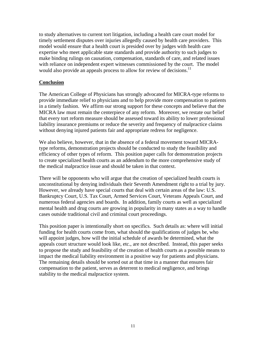to study alternatives to current tort litigation, including a health care court model for timely settlement disputes over injuries allegedly caused by health care providers. This model would ensure that a health court is presided over by judges with health care expertise who meet applicable state standards and provide authority to such judges to make binding rulings on causation, compensation, standards of care, and related issues with reliance on independent expert witnesses commissioned by the court. The model would also provide an appeals process to allow for review of decisions.<sup>11</sup>

#### **Conclusion**

The American College of Physicians has strongly advocated for MICRA-type reforms to provide immediate relief to physicians and to help provide more compensation to patients in a timely fashion. We affirm our strong support for these concepts and believe that the MICRA law must remain the centerpiece of any reform. Moreover, we restate our belief that every tort reform measure should be assessed toward its ability to lower professional liability insurance premiums or reduce the severity and frequency of malpractice claims without denying injured patients fair and appropriate redress for negligence.

We also believe, however, that in the absence of a federal movement toward MICRAtype reforms, demonstration projects should be conducted to study the feasibility and efficiency of other types of reform. This position paper calls for demonstration projects to create specialized health courts as an addendum to the more comprehensive study of the medical malpractice issue and should be taken in that context.

There will be opponents who will argue that the creation of specialized health courts is unconstitutional by denying individuals their Seventh Amendment right to a trial by jury. However, we already have special courts that deal with certain areas of the law: U.S. Bankruptcy Court, U.S. Tax Court, Armed Services Court, Veterans Appeals Court, and numerous federal agencies and boards. In addition, family courts as well as specialized mental health and drug courts are growing in popularity in many states as a way to handle cases outside traditional civil and criminal court proceedings.

This position paper is intentionally short on specifics. Such details as: where will initial funding for health courts come from, what should the qualifications of judges be, who will appoint judges, how will the initial schedule of awards be determined, what the appeals court structure would look like, etc., are not described. Instead, this paper seeks to propose the study and feasibility of the creation of health courts as a possible means to impact the medical liability environment in a positive way for patients and physicians. The remaining details should be sorted out at that time in a manner that ensures fair compensation to the patient, serves as deterrent to medical negligence, and brings stability to the medical malpractice system.